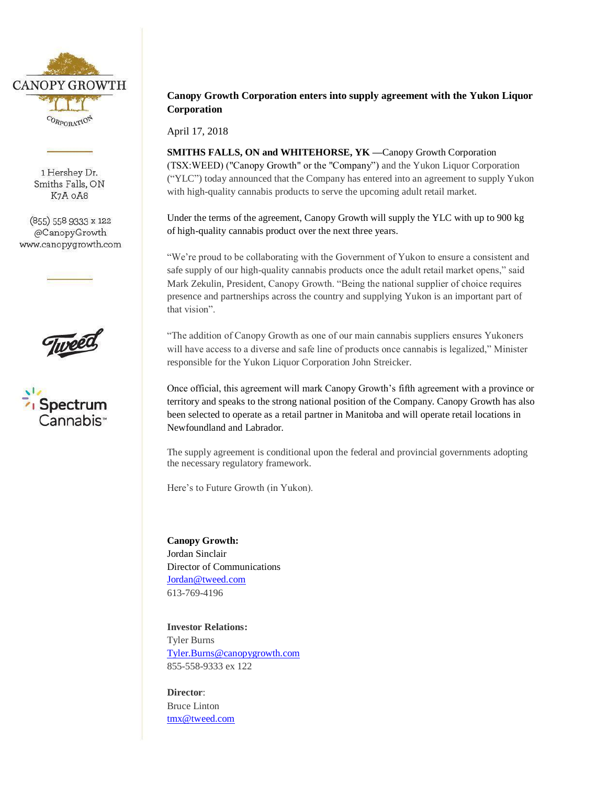

1 Hershey Dr. Smiths Falls, ON K7A OA8

 $(855)$  558 9333 x 122 @CanopyGrowth www.canopygrowth.com





## **Canopy Growth Corporation enters into supply agreement with the Yukon Liquor Corporation**

April 17, 2018

**SMITHS FALLS, ON and WHITEHORSE, YK —**Canopy Growth Corporation (TSX:WEED) ("Canopy Growth" or the "Company") and the Yukon Liquor Corporation ("YLC") today announced that the Company has entered into an agreement to supply Yukon with high-quality cannabis products to serve the upcoming adult retail market.

Under the terms of the agreement, Canopy Growth will supply the YLC with up to 900 kg of high-quality cannabis product over the next three years.

"We're proud to be collaborating with the Government of Yukon to ensure a consistent and safe supply of our high-quality cannabis products once the adult retail market opens," said Mark Zekulin, President, Canopy Growth. "Being the national supplier of choice requires presence and partnerships across the country and supplying Yukon is an important part of that vision".

"The addition of Canopy Growth as one of our main cannabis suppliers ensures Yukoners will have access to a diverse and safe line of products once cannabis is legalized," Minister responsible for the Yukon Liquor Corporation John Streicker.

Once official, this agreement will mark Canopy Growth's fifth agreement with a province or territory and speaks to the strong national position of the Company. Canopy Growth has also been selected to operate as a retail partner in Manitoba and will operate retail locations in Newfoundland and Labrador.

The supply agreement is conditional upon the federal and provincial governments adopting the necessary regulatory framework.

Here's to Future Growth (in Yukon).

**Canopy Growth:** Jordan Sinclair Director of Communications [Jordan@tweed.com](mailto:Jordan@tweed.com) 613-769-4196

**Investor Relations:** Tyler Burns [Tyler.Burns@canopygrowth.com](mailto:Tyler.Burns@canopygrowth.com) 855-558-9333 ex 122

**Director**: Bruce Linton [tmx@tweed.com](mailto:tmx@tweed.com)